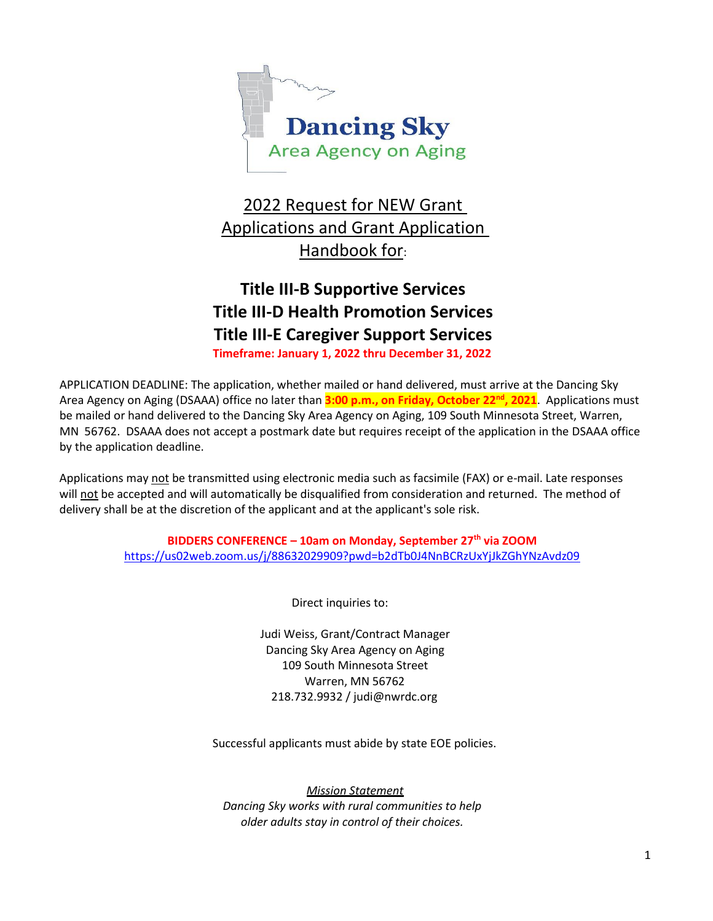

## 2022 Request for NEW Grant Applications and Grant Application Handbook for:

# **Title III-B Supportive Services Title III-D Health Promotion Services Title III-E Caregiver Support Services**

**Timeframe: January 1, 2022 thru December 31, 2022**

APPLICATION DEADLINE: The application, whether mailed or hand delivered, must arrive at the Dancing Sky Area Agency on Aging (DSAAA) office no later than **3:00 p.m., on Friday, October 22nd, 2021**. Applications must be mailed or hand delivered to the Dancing Sky Area Agency on Aging, 109 South Minnesota Street, Warren, MN 56762. DSAAA does not accept a postmark date but requires receipt of the application in the DSAAA office by the application deadline.

Applications may not be transmitted using electronic media such as facsimile (FAX) or e-mail. Late responses will not be accepted and will automatically be disqualified from consideration and returned. The method of delivery shall be at the discretion of the applicant and at the applicant's sole risk.

> **BIDDERS CONFERENCE – 10am on Monday, September 27th via ZOOM** <https://us02web.zoom.us/j/88632029909?pwd=b2dTb0J4NnBCRzUxYjJkZGhYNzAvdz09>

> > Direct inquiries to:

Judi Weiss, Grant/Contract Manager Dancing Sky Area Agency on Aging 109 South Minnesota Street Warren, MN 56762 218.732.9932 / judi@nwrdc.org

Successful applicants must abide by state EOE policies.

*Mission Statement Dancing Sky works with rural communities to help older adults stay in control of their choices.*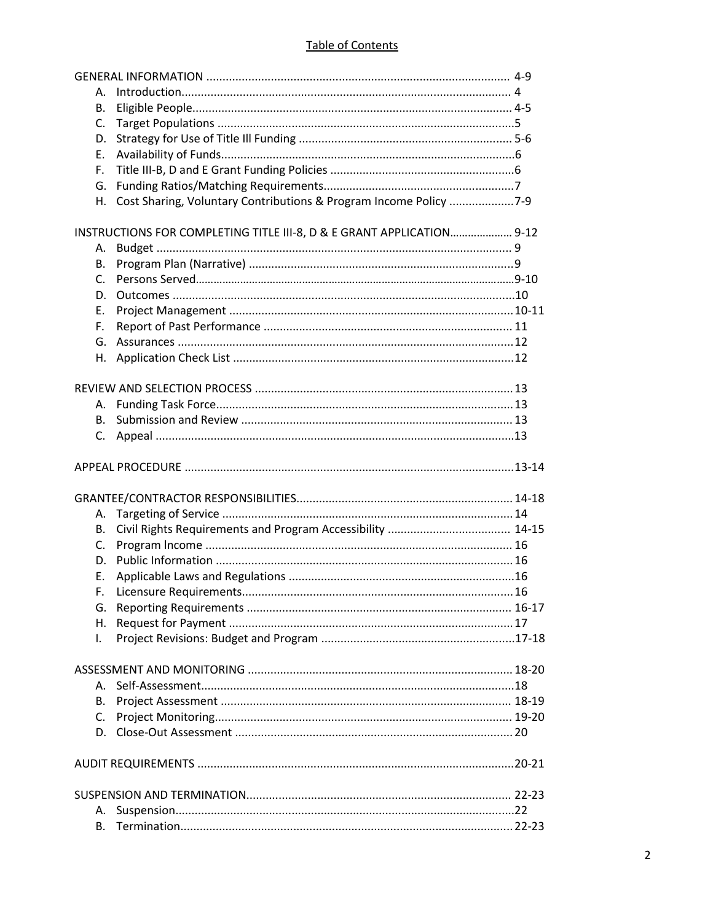#### **Table of Contents**

| А.      |                                                                       |  |
|---------|-----------------------------------------------------------------------|--|
| В.      |                                                                       |  |
| C.      |                                                                       |  |
| D.      |                                                                       |  |
| E.      |                                                                       |  |
| F.      |                                                                       |  |
| G.      |                                                                       |  |
|         | H. Cost Sharing, Voluntary Contributions & Program Income Policy 7-9  |  |
|         | INSTRUCTIONS FOR COMPLETING TITLE III-8, D & E GRANT APPLICATION 9-12 |  |
| А.      |                                                                       |  |
| В.      |                                                                       |  |
| $C_{1}$ |                                                                       |  |
| D.      |                                                                       |  |
| Ε.      |                                                                       |  |
|         |                                                                       |  |
| F.      |                                                                       |  |
|         |                                                                       |  |
|         |                                                                       |  |
|         |                                                                       |  |
|         |                                                                       |  |
| В.      |                                                                       |  |
|         |                                                                       |  |
|         |                                                                       |  |
|         |                                                                       |  |
|         |                                                                       |  |
|         |                                                                       |  |
| А.      |                                                                       |  |
| В.      |                                                                       |  |
| C.      |                                                                       |  |
| D.      |                                                                       |  |
| Е.      |                                                                       |  |
| F.      |                                                                       |  |
| G.      |                                                                       |  |
| Η.      |                                                                       |  |
| I.      |                                                                       |  |
|         |                                                                       |  |
|         |                                                                       |  |
| А.      |                                                                       |  |
| В.      |                                                                       |  |
| C.      |                                                                       |  |
|         |                                                                       |  |
|         |                                                                       |  |
|         |                                                                       |  |
| Α.      |                                                                       |  |
| В.      |                                                                       |  |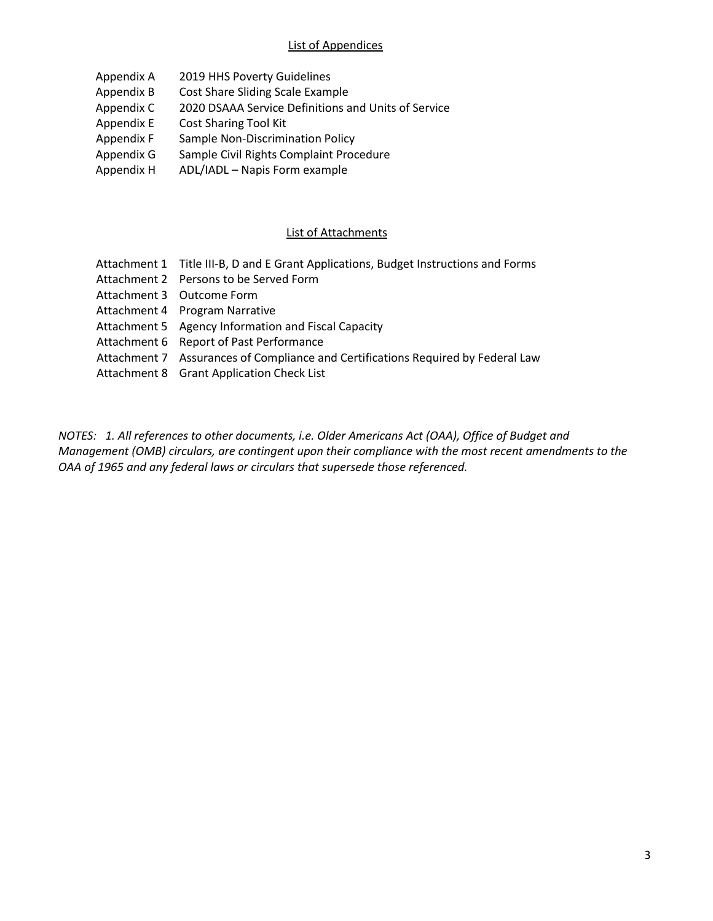#### List of Appendices

- Appendix A 2019 HHS Poverty Guidelines
- Appendix B Cost Share Sliding Scale Example
- Appendix C 2020 DSAAA Service Definitions and Units of Service
- Appendix E Cost Sharing Tool Kit
- Appendix F Sample Non-Discrimination Policy
- Appendix G Sample Civil Rights Complaint Procedure
- Appendix H ADL/IADL Napis Form example

## List of Attachments

| Attachment 1 Title III-B, D and E Grant Applications, Budget Instructions and Forms |
|-------------------------------------------------------------------------------------|
| Attachment 2 Persons to be Served Form                                              |
| Attachment 3 Outcome Form                                                           |
| Attachment 4 Program Narrative                                                      |
| Attachment 5 Agency Information and Fiscal Capacity                                 |
| Attachment 6 Report of Past Performance                                             |
| Attachment 7 Assurances of Compliance and Certifications Required by Federal Law    |
| Attachment 8 Grant Application Check List                                           |

*NOTES: 1. All references to other documents, i.e. Older Americans Act (OAA), Office of Budget and Management (OMB) circulars, are contingent upon their compliance with the most recent amendments to the OAA of 1965 and any federal laws or circulars that supersede those referenced.*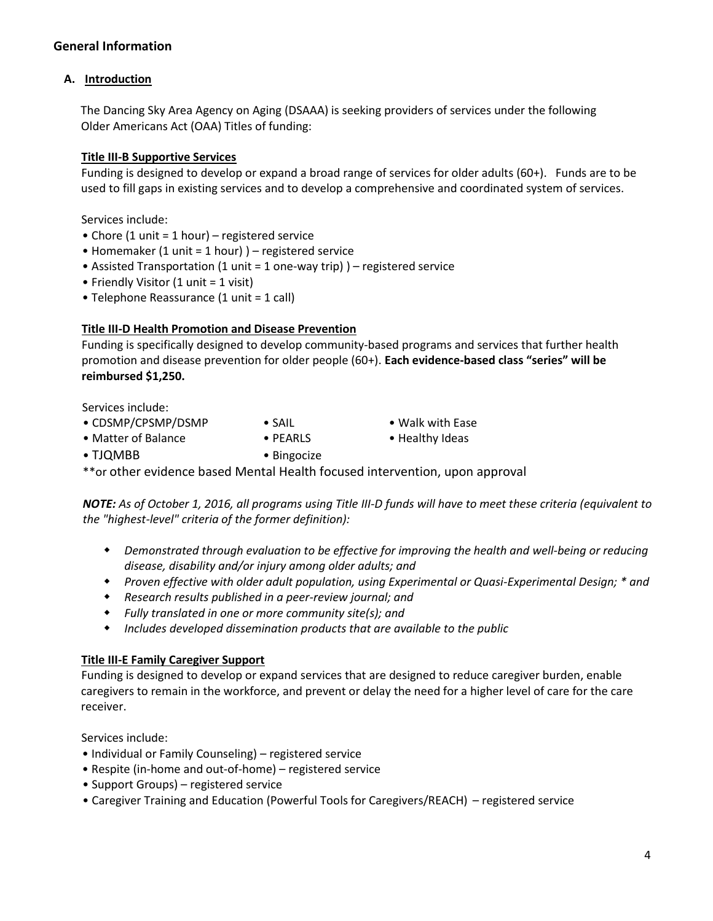## **General Information**

#### **A. Introduction**

The Dancing Sky Area Agency on Aging (DSAAA) is seeking providers of services under the following Older Americans Act (OAA) Titles of funding:

#### **Title III-B Supportive Services**

Funding is designed to develop or expand a broad range of services for older adults (60+). Funds are to be used to fill gaps in existing services and to develop a comprehensive and coordinated system of services.

Services include:

- Chore (1 unit = 1 hour) registered service
- Homemaker (1 unit = 1 hour) ) registered service
- Assisted Transportation (1 unit = 1 one-way trip) ) registered service
- Friendly Visitor (1 unit = 1 visit)
- Telephone Reassurance (1 unit = 1 call)

#### **Title III-D Health Promotion and Disease Prevention**

Funding is specifically designed to develop community-based programs and services that further health promotion and disease prevention for older people (60+). **Each evidence-based class "series" will be reimbursed \$1,250.**

Services include:

- CDSMP/CPSMP/DSMP SAIL Walk with Ease
- Matter of Balance PEARLS Healthy Ideas
- 
- TJQMBB Bingocize

\*\*or other evidence based Mental Health focused intervention, upon approval

*NOTE: As of October 1, 2016, all programs using Title III-D funds will have to meet these criteria (equivalent to the "highest-level" criteria of the former definition):*

- *Demonstrated through evaluation to be effective for improving the health and well-being or reducing disease, disability and/or injury among older adults; and*
- *Proven effective with older adult population, using Experimental or Quasi-Experimental Design; \* and*
- *Research results published in a peer-review journal; and*
- *Fully translated in one or more community site(s); and*
- *Includes developed dissemination products that are available to the public*

#### **Title III-E Family Caregiver Support**

Funding is designed to develop or expand services that are designed to reduce caregiver burden, enable caregivers to remain in the workforce, and prevent or delay the need for a higher level of care for the care receiver.

Services include:

- Individual or Family Counseling) registered service
- Respite (in-home and out-of-home) registered service
- Support Groups) registered service
- Caregiver Training and Education (Powerful Tools for Caregivers/REACH) registered service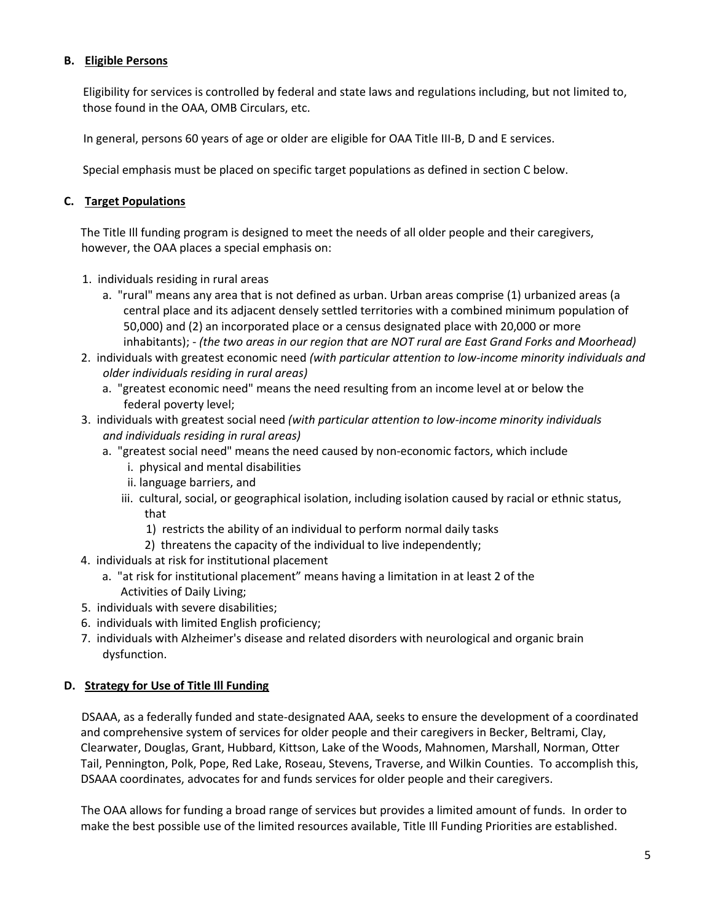## **B. Eligible Persons**

Eligibility for services is controlled by federal and state laws and regulations including, but not limited to, those found in the OAA, OMB Circulars, etc.

In general, persons 60 years of age or older are eligible for OAA Title III-B, D and E services.

Special emphasis must be placed on specific target populations as defined in section C below.

#### **C. Target Populations**

The Title Ill funding program is designed to meet the needs of all older people and their caregivers, however, the OAA places a special emphasis on:

- 1. individuals residing in rural areas
	- a. "rural" means any area that is not defined as urban. Urban areas comprise (1) urbanized areas (a central place and its adjacent densely settled territories with a combined minimum population of 50,000) and (2) an incorporated place or a census designated place with 20,000 or more inhabitants); - *(the two areas in our region that are NOT rural are East Grand Forks and Moorhead)*
- 2. individuals with greatest economic need *(with particular attention to low-income minority individuals and older individuals residing in rural areas)*
	- a. "greatest economic need" means the need resulting from an income level at or below the federal poverty level;
- 3. individuals with greatest social need *(with particular attention to low-income minority individuals and individuals residing in rural areas)*
	- a. "greatest social need" means the need caused by non-economic factors, which include
		- i. physical and mental disabilities
		- ii. language barriers, and
		- iii. cultural, social, or geographical isolation, including isolation caused by racial or ethnic status, that
			- 1) restricts the ability of an individual to perform normal daily tasks
			- 2) threatens the capacity of the individual to live independently;
- 4. individuals at risk for institutional placement
	- a. "at risk for institutional placement" means having a limitation in at least 2 of the Activities of Daily Living;
- 5. individuals with severe disabilities;
- 6. individuals with limited English proficiency;
- 7. individuals with Alzheimer's disease and related disorders with neurological and organic brain dysfunction.

## **D. Strategy for Use of Title Ill Funding**

DSAAA, as a federally funded and state-designated AAA, seeks to ensure the development of a coordinated and comprehensive system of services for older people and their caregivers in Becker, Beltrami, Clay, Clearwater, Douglas, Grant, Hubbard, Kittson, Lake of the Woods, Mahnomen, Marshall, Norman, Otter Tail, Pennington, Polk, Pope, Red Lake, Roseau, Stevens, Traverse, and Wilkin Counties. To accomplish this, DSAAA coordinates, advocates for and funds services for older people and their caregivers.

The OAA allows for funding a broad range of services but provides a limited amount of funds. In order to make the best possible use of the limited resources available, Title Ill Funding Priorities are established.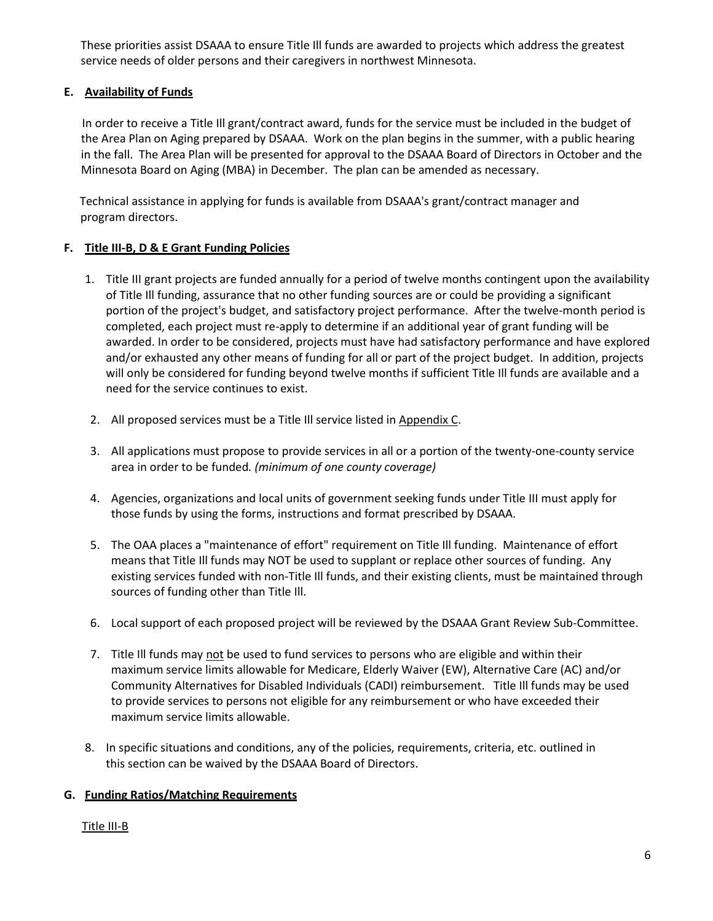These priorities assist DSAAA to ensure Title Ill funds are awarded to projects which address the greatest service needs of older persons and their caregivers in northwest Minnesota.

#### **E. Availability of Funds**

In order to receive a Title Ill grant/contract award, funds for the service must be included in the budget of the Area Plan on Aging prepared by DSAAA. Work on the plan begins in the summer, with a public hearing in the fall. The Area Plan will be presented for approval to the DSAAA Board of Directors in October and the Minnesota Board on Aging (MBA) in December. The plan can be amended as necessary.

Technical assistance in applying for funds is available from DSAAA's grant/contract manager and program directors.

#### **F. Title III-B, D & E Grant Funding Policies**

- 1. Title III grant projects are funded annually for a period of twelve months contingent upon the availability of Title Ill funding, assurance that no other funding sources are or could be providing a significant portion of the project's budget, and satisfactory project performance. After the twelve-month period is completed, each project must re-apply to determine if an additional year of grant funding will be awarded. In order to be considered, projects must have had satisfactory performance and have explored and/or exhausted any other means of funding for all or part of the project budget. In addition, projects will only be considered for funding beyond twelve months if sufficient Title Ill funds are available and a need for the service continues to exist.
- 2. All proposed services must be a Title Ill service listed in Appendix C.
- 3. All applications must propose to provide services in all or a portion of the twenty-one-county service area in order to be funded*. (minimum of one county coverage)*
- 4. Agencies, organizations and local units of government seeking funds under Title III must apply for those funds by using the forms, instructions and format prescribed by DSAAA.
- 5. The OAA places a "maintenance of effort" requirement on Title Ill funding. Maintenance of effort means that Title Ill funds may NOT be used to supplant or replace other sources of funding. Any existing services funded with non-Title Ill funds, and their existing clients, must be maintained through sources of funding other than Title Ill.
- 6. Local support of each proposed project will be reviewed by the DSAAA Grant Review Sub-Committee.
- 7. Title III funds may not be used to fund services to persons who are eligible and within their maximum service limits allowable for Medicare, Elderly Waiver (EW), Alternative Care (AC) and/or Community Alternatives for Disabled Individuals (CADI) reimbursement. Title Ill funds may be used to provide services to persons not eligible for any reimbursement or who have exceeded their maximum service limits allowable.
- 8. In specific situations and conditions, any of the policies, requirements, criteria, etc. outlined in this section can be waived by the DSAAA Board of Directors.

#### **G. Funding Ratios/Matching Requirements**

#### Title III-B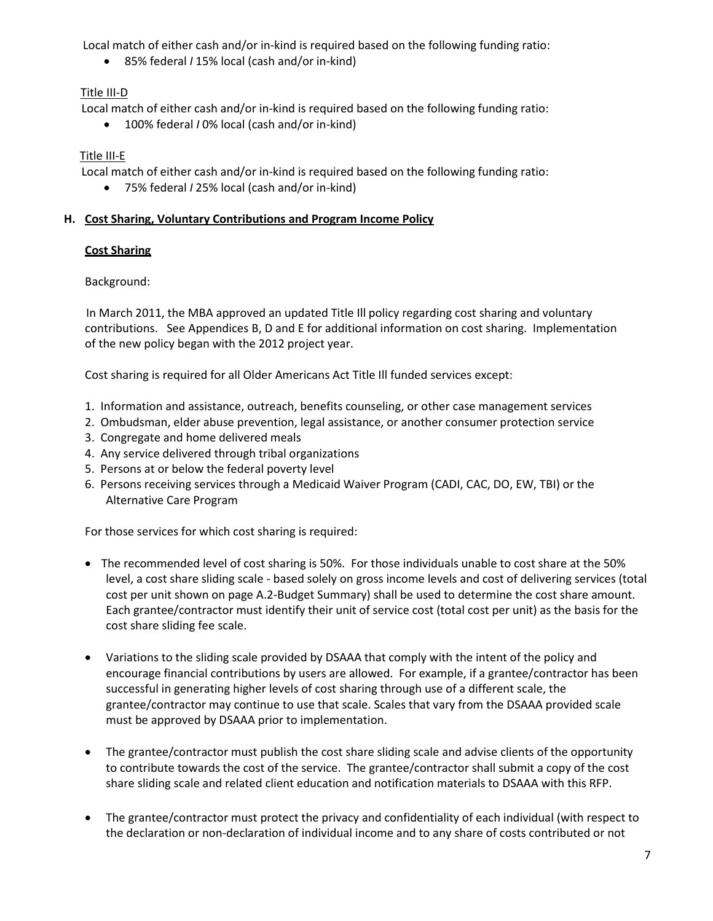Local match of either cash and/or in-kind is required based on the following funding ratio:

• 85% federal *I* 15% local (cash and/or in-kind)

## Title III-D

Local match of either cash and/or in-kind is required based on the following funding ratio:

• 100% federal *I* 0% local (cash and/or in-kind)

## Title III-E

Local match of either cash and/or in-kind is required based on the following funding ratio:

• 75% federal *I* 25% local (cash and/or in-kind)

## **H. Cost Sharing, Voluntary Contributions and Program Income Policy**

## **Cost Sharing**

Background:

In March 2011, the MBA approved an updated Title Ill policy regarding cost sharing and voluntary contributions. See Appendices B, D and E for additional information on cost sharing. Implementation of the new policy began with the 2012 project year.

Cost sharing is required for all Older Americans Act Title Ill funded services except:

- 1. Information and assistance, outreach, benefits counseling, or other case management services
- 2. Ombudsman, elder abuse prevention, legal assistance, or another consumer protection service
- 3. Congregate and home delivered meals
- 4. Any service delivered through tribal organizations
- 5. Persons at or below the federal poverty level
- 6. Persons receiving services through a Medicaid Waiver Program (CADI, CAC, DO, EW, TBI) or the Alternative Care Program

For those services for which cost sharing is required:

- The recommended level of cost sharing is 50%. For those individuals unable to cost share at the 50% level, a cost share sliding scale - based solely on gross income levels and cost of delivering services (total cost per unit shown on page A.2-Budget Summary) shall be used to determine the cost share amount. Each grantee/contractor must identify their unit of service cost (total cost per unit) as the basis for the cost share sliding fee scale.
- Variations to the sliding scale provided by DSAAA that comply with the intent of the policy and encourage financial contributions by users are allowed. For example, if a grantee/contractor has been successful in generating higher levels of cost sharing through use of a different scale, the grantee/contractor may continue to use that scale. Scales that vary from the DSAAA provided scale must be approved by DSAAA prior to implementation.
- The grantee/contractor must publish the cost share sliding scale and advise clients of the opportunity to contribute towards the cost of the service. The grantee/contractor shall submit a copy of the cost share sliding scale and related client education and notification materials to DSAAA with this RFP.
- The grantee/contractor must protect the privacy and confidentiality of each individual (with respect to the declaration or non-declaration of individual income and to any share of costs contributed or not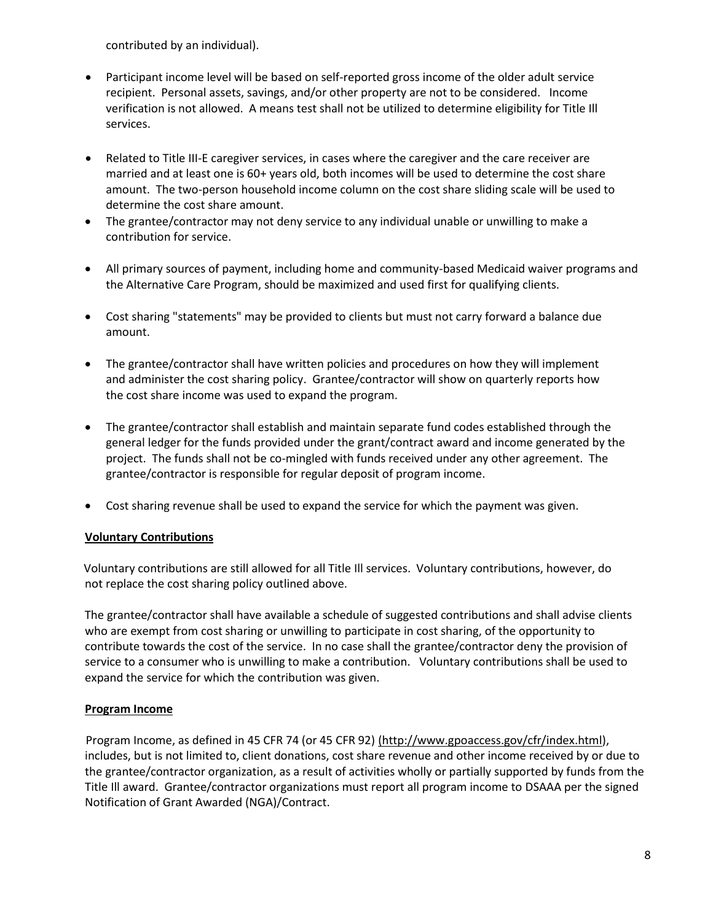contributed by an individual).

- Participant income level will be based on self-reported gross income of the older adult service recipient. Personal assets, savings, and/or other property are not to be considered. Income verification is not allowed. A means test shall not be utilized to determine eligibility for Title Ill services.
- Related to Title III-E caregiver services, in cases where the caregiver and the care receiver are married and at least one is 60+ years old, both incomes will be used to determine the cost share amount. The two-person household income column on the cost share sliding scale will be used to determine the cost share amount.
- The grantee/contractor may not deny service to any individual unable or unwilling to make a contribution for service.
- All primary sources of payment, including home and community-based Medicaid waiver programs and the Alternative Care Program, should be maximized and used first for qualifying clients.
- Cost sharing "statements" may be provided to clients but must not carry forward a balance due amount.
- The grantee/contractor shall have written policies and procedures on how they will implement and administer the cost sharing policy. Grantee/contractor will show on quarterly reports how the cost share income was used to expand the program.
- The grantee/contractor shall establish and maintain separate fund codes established through the general ledger for the funds provided under the grant/contract award and income generated by the project. The funds shall not be co-mingled with funds received under any other agreement. The grantee/contractor is responsible for regular deposit of program income.
- Cost sharing revenue shall be used to expand the service for which the payment was given.

## **Voluntary Contributions**

Voluntary contributions are still allowed for all Title Ill services. Voluntary contributions, however, do not replace the cost sharing policy outlined above.

The grantee/contractor shall have available a schedule of suggested contributions and shall advise clients who are exempt from cost sharing or unwilling to participate in cost sharing, of the opportunity to contribute towards the cost of the service. In no case shall the grantee/contractor deny the provision of service to a consumer who is unwilling to make a contribution. Voluntary contributions shall be used to expand the service for which the contribution was given.

#### **Program Income**

Program Income, as defined in 45 CFR 74 (or 45 CFR 92) [\(http://www.gpoaccess.gov/cfr/index.html\),](http://www.gpoaccess.gov/cfr/index.html))  includes, but is not limited to, client donations, cost share revenue and other income received by or due to the grantee/contractor organization, as a result of activities wholly or partially supported by funds from the Title Ill award. Grantee/contractor organizations must report all program income to DSAAA per the signed Notification of Grant Awarded (NGA)/Contract.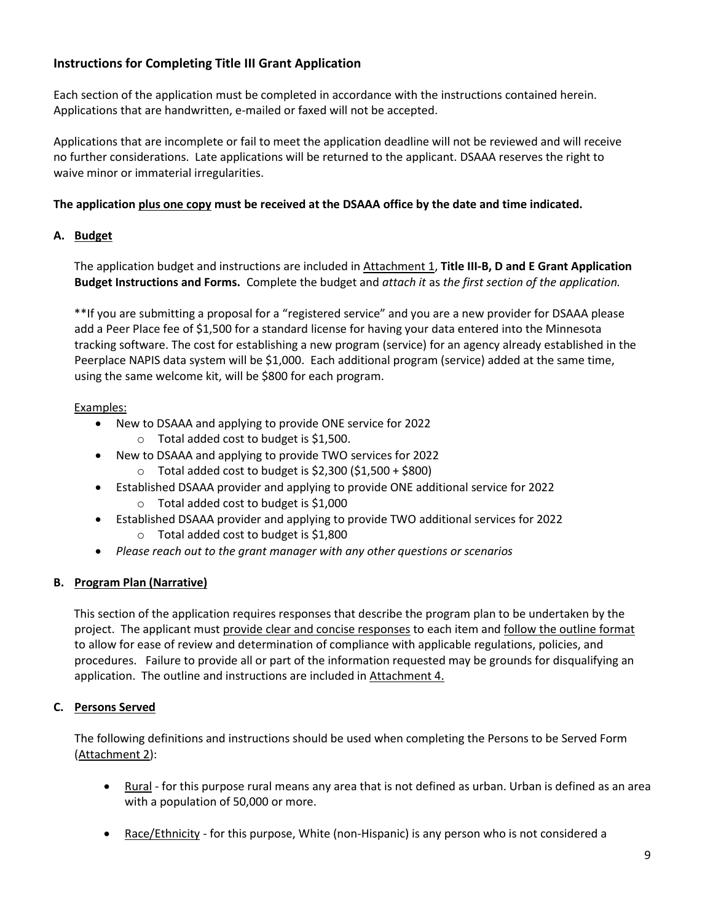## **Instructions for Completing Title III Grant Application**

Each section of the application must be completed in accordance with the instructions contained herein. Applications that are handwritten, e-mailed or faxed will not be accepted.

Applications that are incomplete or fail to meet the application deadline will not be reviewed and will receive no further considerations. Late applications will be returned to the applicant. DSAAA reserves the right to waive minor or immaterial irregularities.

## **The application plus one copy must be received at the DSAAA office by the date and time indicated.**

#### **A. Budget**

The application budget and instructions are included in Attachment 1, **Title III-B, D and E Grant Application Budget Instructions and Forms.** Complete the budget and *attach it* as *the first section of the application.*

\*\*If you are submitting a proposal for a "registered service" and you are a new provider for DSAAA please add a Peer Place fee of \$1,500 for a standard license for having your data entered into the Minnesota tracking software. The cost for establishing a new program (service) for an agency already established in the Peerplace NAPIS data system will be \$1,000. Each additional program (service) added at the same time, using the same welcome kit, will be \$800 for each program.

#### Examples:

- New to DSAAA and applying to provide ONE service for 2022
	- $\circ$  Total added cost to budget is \$1,500.
	- New to DSAAA and applying to provide TWO services for 2022
		- $\circ$  Total added cost to budget is \$2,300 (\$1,500 + \$800)
- Established DSAAA provider and applying to provide ONE additional service for 2022  $\circ$  Total added cost to budget is \$1,000
- Established DSAAA provider and applying to provide TWO additional services for 2022 o Total added cost to budget is \$1,800
- *Please reach out to the grant manager with any other questions or scenarios*

## **B. Program Plan (Narrative)**

This section of the application requires responses that describe the program plan to be undertaken by the project. The applicant must provide clear and concise responses to each item and follow the outline format to allow for ease of review and determination of compliance with applicable regulations, policies, and procedures. Failure to provide all or part of the information requested may be grounds for disqualifying an application. The outline and instructions are included in Attachment 4.

## **C. Persons Served**

The following definitions and instructions should be used when completing the Persons to be Served Form (Attachment 2):

- Rural for this purpose rural means any area that is not defined as urban. Urban is defined as an area with a population of 50,000 or more.
- Race/Ethnicity for this purpose, White (non-Hispanic) is any person who is not considered a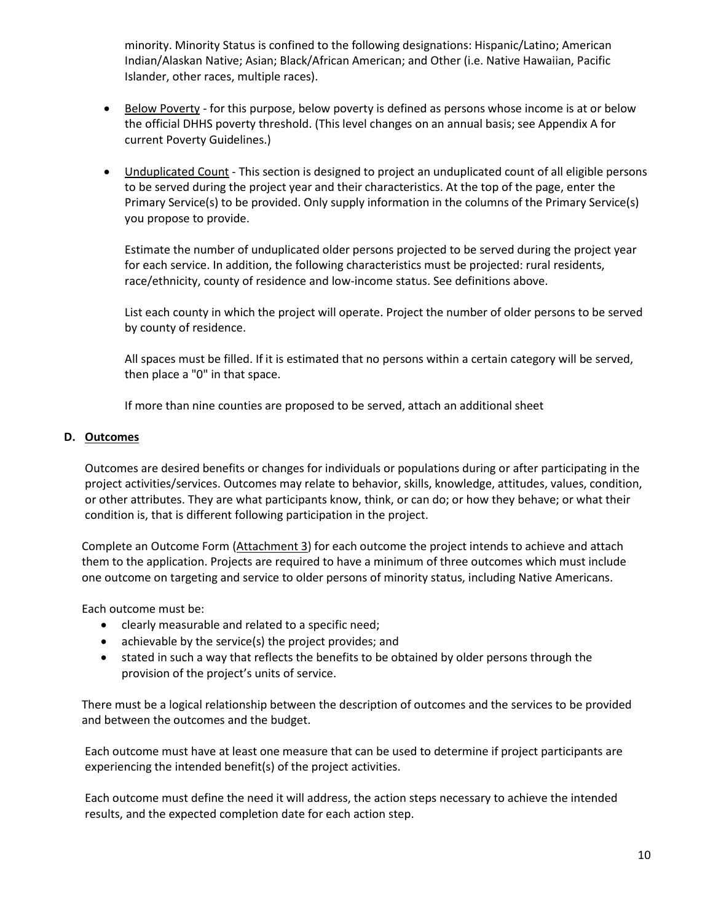minority. Minority Status is confined to the following designations: Hispanic/Latino; American Indian/Alaskan Native; Asian; Black/African American; and Other (i.e. Native Hawaiian, Pacific Islander, other races, multiple races).

- Below Poverty for this purpose, below poverty is defined as persons whose income is at or below the official DHHS poverty threshold. (This level changes on an annual basis; see Appendix A for current Poverty Guidelines.)
- Unduplicated Count This section is designed to project an unduplicated count of all eligible persons to be served during the project year and their characteristics. At the top of the page, enter the Primary Service(s) to be provided. Only supply information in the columns of the Primary Service(s) you propose to provide.

Estimate the number of unduplicated older persons projected to be served during the project year for each service. In addition, the following characteristics must be projected: rural residents, race/ethnicity, county of residence and low-income status. See definitions above.

List each county in which the project will operate. Project the number of older persons to be served by county of residence.

All spaces must be filled. If it is estimated that no persons within a certain category will be served, then place a "0" in that space.

If more than nine counties are proposed to be served, attach an additional sheet

#### **D. Outcomes**

Outcomes are desired benefits or changes for individuals or populations during or after participating in the project activities/services. Outcomes may relate to behavior, skills, knowledge, attitudes, values, condition, or other attributes. They are what participants know, think, or can do; or how they behave; or what their condition is, that is different following participation in the project.

Complete an Outcome Form (Attachment 3) for each outcome the project intends to achieve and attach them to the application. Projects are required to have a minimum of three outcomes which must include one outcome on targeting and service to older persons of minority status, including Native Americans.

Each outcome must be:

- clearly measurable and related to a specific need;
- achievable by the service(s) the project provides; and
- stated in such a way that reflects the benefits to be obtained by older persons through the provision of the project's units of service.

There must be a logical relationship between the description of outcomes and the services to be provided and between the outcomes and the budget.

Each outcome must have at least one measure that can be used to determine if project participants are experiencing the intended benefit(s) of the project activities.

Each outcome must define the need it will address, the action steps necessary to achieve the intended results, and the expected completion date for each action step.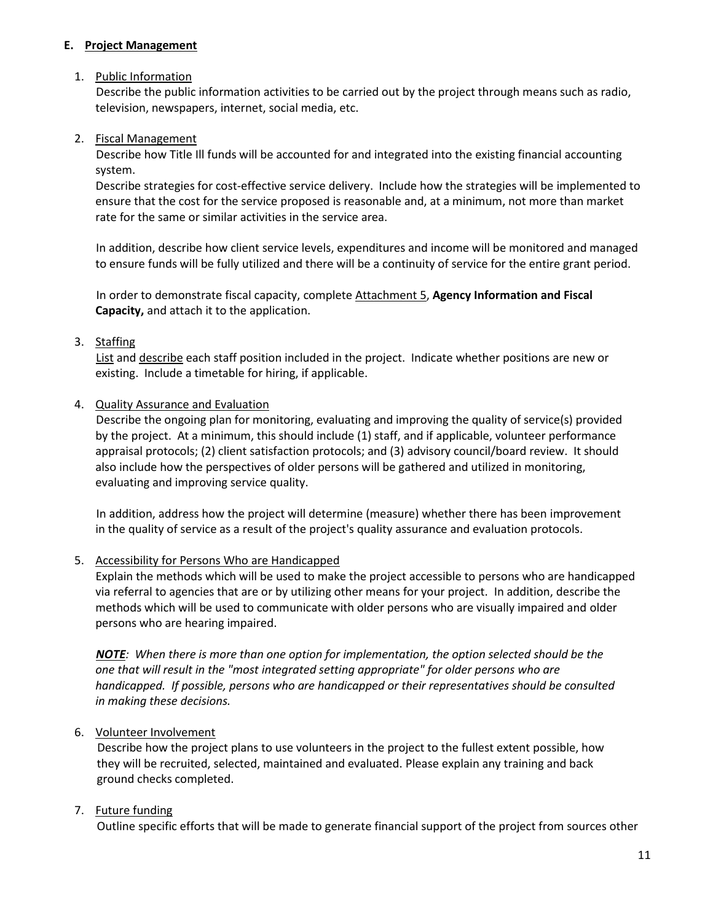#### **E. Project Management**

#### 1. Public Information

Describe the public information activities to be carried out by the project through means such as radio, television, newspapers, internet, social media, etc.

#### 2. Fiscal Management

Describe how Title Ill funds will be accounted for and integrated into the existing financial accounting system.

Describe strategies for cost-effective service delivery. Include how the strategies will be implemented to ensure that the cost for the service proposed is reasonable and, at a minimum, not more than market rate for the same or similar activities in the service area.

In addition, describe how client service levels, expenditures and income will be monitored and managed to ensure funds will be fully utilized and there will be a continuity of service for the entire grant period.

In order to demonstrate fiscal capacity, complete Attachment 5, **Agency Information and Fiscal Capacity,** and attach it to the application.

## 3. Staffing

List and describe each staff position included in the project. Indicate whether positions are new or existing. Include a timetable for hiring, if applicable.

#### 4. Quality Assurance and Evaluation

Describe the ongoing plan for monitoring, evaluating and improving the quality of service(s) provided by the project. At a minimum, this should include (1) staff, and if applicable, volunteer performance appraisal protocols; (2) client satisfaction protocols; and (3) advisory council/board review. It should also include how the perspectives of older persons will be gathered and utilized in monitoring, evaluating and improving service quality.

In addition, address how the project will determine (measure) whether there has been improvement in the quality of service as a result of the project's quality assurance and evaluation protocols.

## 5. Accessibility for Persons Who are Handicapped

Explain the methods which will be used to make the project accessible to persons who are handicapped via referral to agencies that are or by utilizing other means for your project. In addition, describe the methods which will be used to communicate with older persons who are visually impaired and older persons who are hearing impaired.

*NOTE: When there is more than one option for implementation, the option selected should be the one that will result in the "most integrated setting appropriate" for older persons who are handicapped. If possible, persons who are handicapped or their representatives should be consulted in making these decisions.*

## 6. Volunteer Involvement

Describe how the project plans to use volunteers in the project to the fullest extent possible, how they will be recruited, selected, maintained and evaluated. Please explain any training and back ground checks completed.

## 7. Future funding

Outline specific efforts that will be made to generate financial support of the project from sources other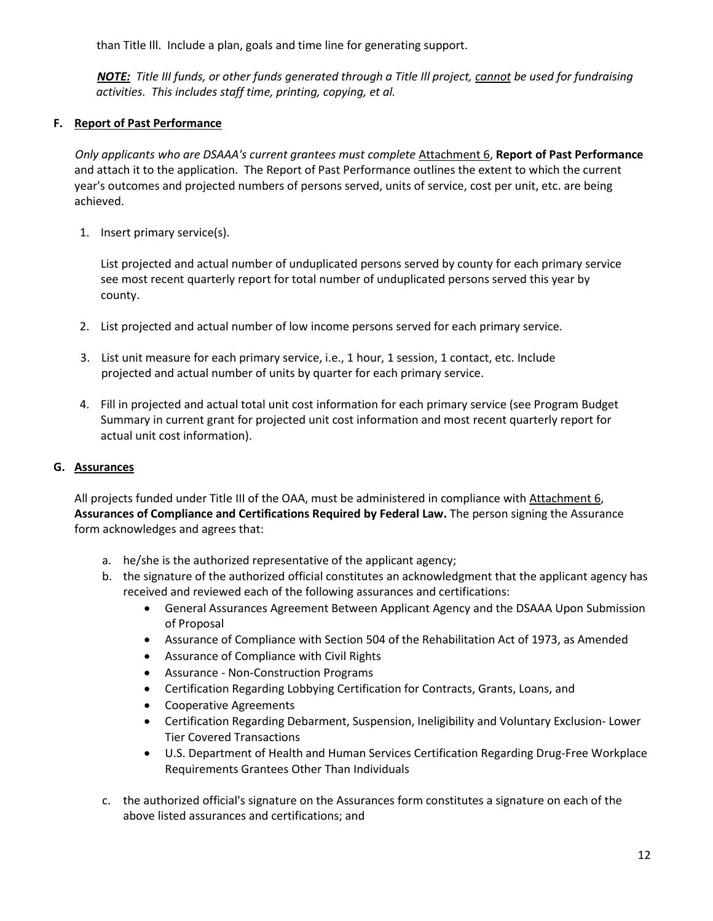than Title Ill. Include a plan, goals and time line for generating support.

*NOTE: Title III funds, or other funds generated through a Title Ill project, cannot be used for fundraising activities. This includes staff time, printing, copying, et al.*

## **F. Report of Past Performance**

*Only applicants who are DSAAA's current grantees must complete* Attachment 6, **Report of Past Performance**  and attach it to the application. The Report of Past Performance outlines the extent to which the current year's outcomes and projected numbers of persons served, units of service, cost per unit, etc. are being achieved.

1. Insert primary service(s).

List projected and actual number of unduplicated persons served by county for each primary service see most recent quarterly report for total number of unduplicated persons served this year by county.

- 2. List projected and actual number of low income persons served for each primary service.
- 3. List unit measure for each primary service, i.e., 1 hour, 1 session, 1 contact, etc. Include projected and actual number of units by quarter for each primary service.
- 4. Fill in projected and actual total unit cost information for each primary service (see Program Budget Summary in current grant for projected unit cost information and most recent quarterly report for actual unit cost information).

## **G. Assurances**

All projects funded under Title III of the OAA, must be administered in compliance with Attachment 6, **Assurances of Compliance and Certifications Required by Federal Law.** The person signing the Assurance form acknowledges and agrees that:

- a. he/she is the authorized representative of the applicant agency;
- b. the signature of the authorized official constitutes an acknowledgment that the applicant agency has received and reviewed each of the following assurances and certifications:
	- General Assurances Agreement Between Applicant Agency and the DSAAA Upon Submission of Proposal
	- Assurance of Compliance with Section 504 of the Rehabilitation Act of 1973, as Amended
	- Assurance of Compliance with Civil Rights
	- Assurance Non-Construction Programs
	- Certification Regarding Lobbying Certification for Contracts, Grants, Loans, and
	- Cooperative Agreements
	- Certification Regarding Debarment, Suspension, Ineligibility and Voluntary Exclusion- Lower Tier Covered Transactions
	- U.S. Department of Health and Human Services Certification Regarding Drug-Free Workplace Requirements Grantees Other Than Individuals
- c. the authorized official's signature on the Assurances form constitutes a signature on each of the above listed assurances and certifications; and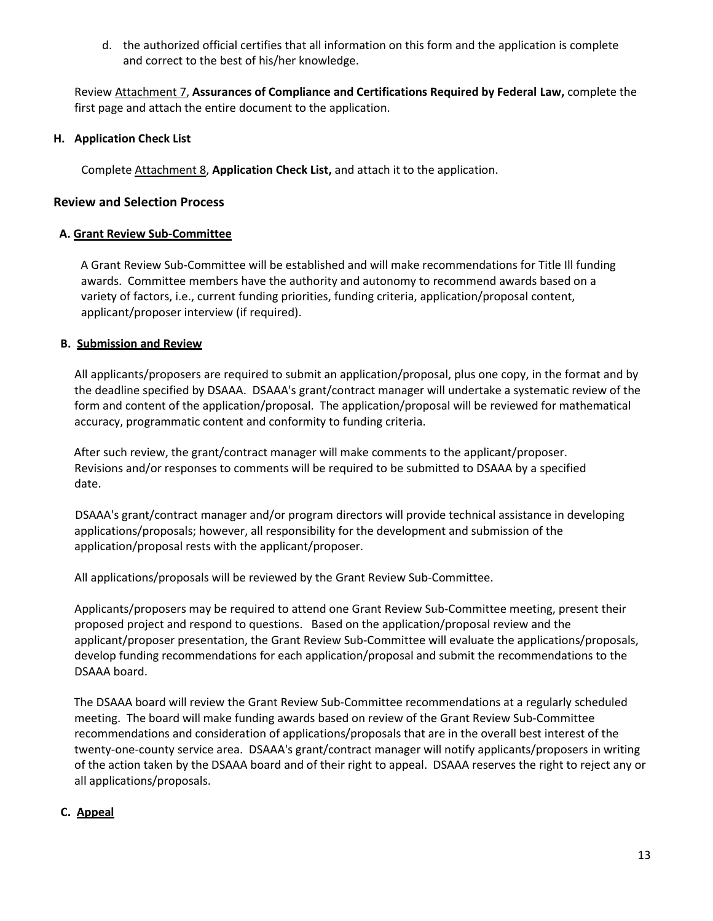d. the authorized official certifies that all information on this form and the application is complete and correct to the best of his/her knowledge.

Review Attachment 7, **Assurances of Compliance and Certifications Required by Federal Law,** complete the first page and attach the entire document to the application.

#### **H. Application Check List**

Complete Attachment 8, **Application Check List,** and attach it to the application.

#### **Review and Selection Process**

#### **A. Grant Review Sub-Committee**

A Grant Review Sub-Committee will be established and will make recommendations for Title Ill funding awards. Committee members have the authority and autonomy to recommend awards based on a variety of factors, i.e., current funding priorities, funding criteria, application/proposal content, applicant/proposer interview (if required).

#### **B. Submission and Review**

All applicants/proposers are required to submit an application/proposal, plus one copy, in the format and by the deadline specified by DSAAA. DSAAA's grant/contract manager will undertake a systematic review of the form and content of the application/proposal. The application/proposal will be reviewed for mathematical accuracy, programmatic content and conformity to funding criteria.

After such review, the grant/contract manager will make comments to the applicant/proposer. Revisions and/or responses to comments will be required to be submitted to DSAAA by a specified date.

DSAAA's grant/contract manager and/or program directors will provide technical assistance in developing applications/proposals; however, all responsibility for the development and submission of the application/proposal rests with the applicant/proposer.

All applications/proposals will be reviewed by the Grant Review Sub-Committee.

Applicants/proposers may be required to attend one Grant Review Sub-Committee meeting, present their proposed project and respond to questions. Based on the application/proposal review and the applicant/proposer presentation, the Grant Review Sub-Committee will evaluate the applications/proposals, develop funding recommendations for each application/proposal and submit the recommendations to the DSAAA board.

The DSAAA board will review the Grant Review Sub-Committee recommendations at a regularly scheduled meeting. The board will make funding awards based on review of the Grant Review Sub-Committee recommendations and consideration of applications/proposals that are in the overall best interest of the twenty-one-county service area. DSAAA's grant/contract manager will notify applicants/proposers in writing of the action taken by the DSAAA board and of their right to appeal. DSAAA reserves the right to reject any or all applications/proposals.

## **C. Appeal**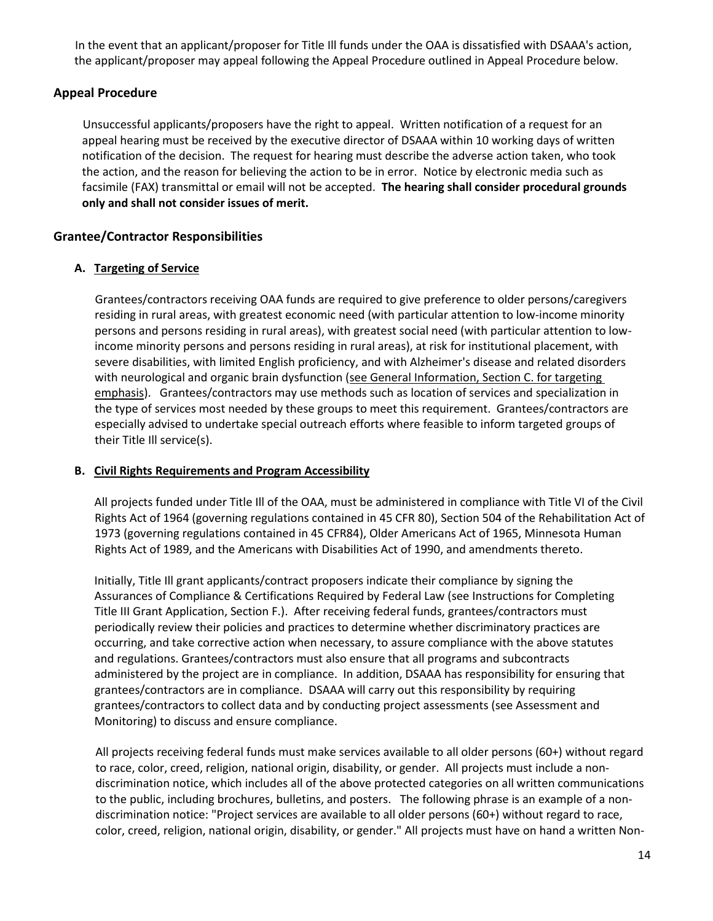In the event that an applicant/proposer for Title Ill funds under the OAA is dissatisfied with DSAAA's action, the applicant/proposer may appeal following the Appeal Procedure outlined in Appeal Procedure below.

## **Appeal Procedure**

Unsuccessful applicants/proposers have the right to appeal. Written notification of a request for an appeal hearing must be received by the executive director of DSAAA within 10 working days of written notification of the decision. The request for hearing must describe the adverse action taken, who took the action, and the reason for believing the action to be in error. Notice by electronic media such as facsimile (FAX) transmittal or email will not be accepted. **The hearing shall consider procedural grounds only and shall not consider issues of merit.**

## **Grantee/Contractor Responsibilities**

## **A. Targeting of Service**

Grantees/contractors receiving OAA funds are required to give preference to older persons/caregivers residing in rural areas, with greatest economic need (with particular attention to low-income minority persons and persons residing in rural areas), with greatest social need (with particular attention to lowincome minority persons and persons residing in rural areas), at risk for institutional placement, with severe disabilities, with limited English proficiency, and with Alzheimer's disease and related disorders with neurological and organic brain dysfunction (see General Information, Section C. for targeting emphasis). Grantees/contractors may use methods such as location of services and specialization in the type of services most needed by these groups to meet this requirement. Grantees/contractors are especially advised to undertake special outreach efforts where feasible to inform targeted groups of their Title Ill service(s).

## **B. Civil Rights Requirements and Program Accessibility**

All projects funded under Title Ill of the OAA, must be administered in compliance with Title VI of the Civil Rights Act of 1964 (governing regulations contained in 45 CFR 80), Section 504 of the Rehabilitation Act of 1973 (governing regulations contained in 45 CFR84), Older Americans Act of 1965, Minnesota Human Rights Act of 1989, and the Americans with Disabilities Act of 1990, and amendments thereto.

Initially, Title Ill grant applicants/contract proposers indicate their compliance by signing the Assurances of Compliance & Certifications Required by Federal Law (see Instructions for Completing Title III Grant Application, Section F.). After receiving federal funds, grantees/contractors must periodically review their policies and practices to determine whether discriminatory practices are occurring, and take corrective action when necessary, to assure compliance with the above statutes and regulations. Grantees/contractors must also ensure that all programs and subcontracts administered by the project are in compliance. In addition, DSAAA has responsibility for ensuring that grantees/contractors are in compliance. DSAAA will carry out this responsibility by requiring grantees/contractors to collect data and by conducting project assessments (see Assessment and Monitoring) to discuss and ensure compliance.

All projects receiving federal funds must make services available to all older persons (60+) without regard to race, color, creed, religion, national origin, disability, or gender. All projects must include a nondiscrimination notice, which includes all of the above protected categories on all written communications to the public, including brochures, bulletins, and posters. The following phrase is an example of a nondiscrimination notice: "Project services are available to all older persons (60+) without regard to race, color, creed, religion, national origin, disability, or gender." All projects must have on hand a written Non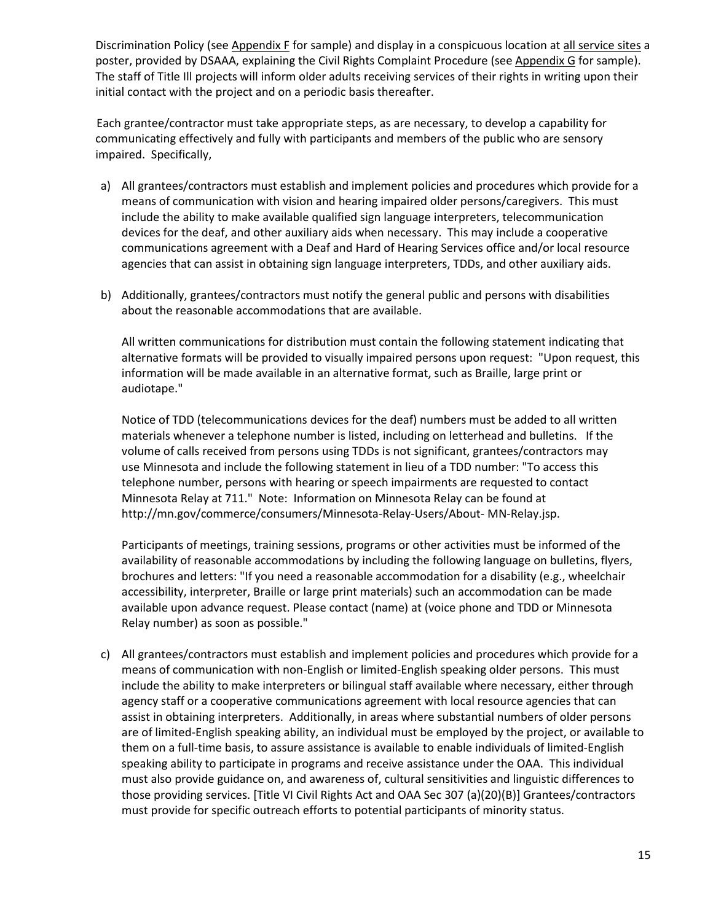Discrimination Policy (see Appendix F for sample) and display in a conspicuous location at all service sites a poster, provided by DSAAA, explaining the Civil Rights Complaint Procedure (see Appendix G for sample). The staff of Title Ill projects will inform older adults receiving services of their rights in writing upon their initial contact with the project and on a periodic basis thereafter.

Each grantee/contractor must take appropriate steps, as are necessary, to develop a capability for communicating effectively and fully with participants and members of the public who are sensory impaired. Specifically,

- a) All grantees/contractors must establish and implement policies and procedures which provide for a means of communication with vision and hearing impaired older persons/caregivers. This must include the ability to make available qualified sign language interpreters, telecommunication devices for the deaf, and other auxiliary aids when necessary. This may include a cooperative communications agreement with a Deaf and Hard of Hearing Services office and/or local resource agencies that can assist in obtaining sign language interpreters, TDDs, and other auxiliary aids.
- b) Additionally, grantees/contractors must notify the general public and persons with disabilities about the reasonable accommodations that are available.

All written communications for distribution must contain the following statement indicating that alternative formats will be provided to visually impaired persons upon request: "Upon request, this information will be made available in an alternative format, such as Braille, large print or audiotape."

Notice of TDD (telecommunications devices for the deaf) numbers must be added to all written materials whenever a telephone number is listed, including on letterhead and bulletins. If the volume of calls received from persons using TDDs is not significant, grantees/contractors may use Minnesota and include the following statement in lieu of a TDD number: "To access this telephone number, persons with hearing or speech impairments are requested to contact Minnesota Relay at 711." Note: Information on Minnesota Relay can be found at [http://mn.gov/commerce/consumers/Minnesota-Relay-Users/About- M](http://mn.gov/commerce/consumers/Minnesota-Relay-Users/About)N-Relay.jsp.

Participants of meetings, training sessions, programs or other activities must be informed of the availability of reasonable accommodations by including the following language on bulletins, flyers, brochures and letters: "If you need a reasonable accommodation for a disability (e.g., wheelchair accessibility, interpreter, Braille or large print materials) such an accommodation can be made available upon advance request. Please contact (name) at (voice phone and TDD or Minnesota Relay number) as soon as possible."

c) All grantees/contractors must establish and implement policies and procedures which provide for a means of communication with non-English or limited-English speaking older persons. This must include the ability to make interpreters or bilingual staff available where necessary, either through agency staff or a cooperative communications agreement with local resource agencies that can assist in obtaining interpreters. Additionally, in areas where substantial numbers of older persons are of limited-English speaking ability, an individual must be employed by the project, or available to them on a full-time basis, to assure assistance is available to enable individuals of limited-English speaking ability to participate in programs and receive assistance under the OAA. This individual must also provide guidance on, and awareness of, cultural sensitivities and linguistic differences to those providing services. [Title VI Civil Rights Act and OAA Sec 307 (a)(20)(B)] Grantees/contractors must provide for specific outreach efforts to potential participants of minority status.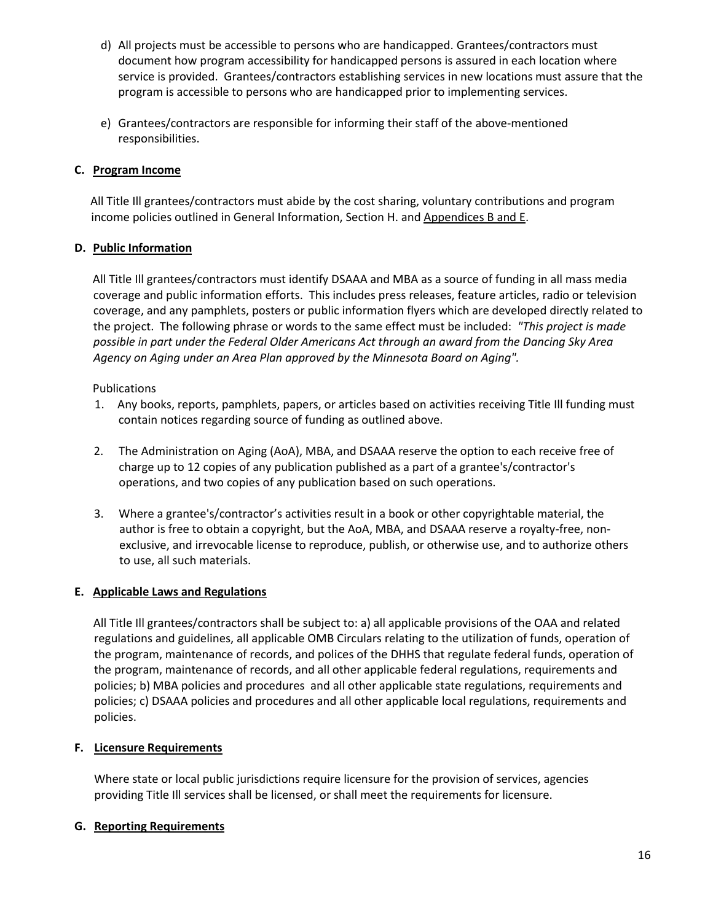- d) All projects must be accessible to persons who are handicapped. Grantees/contractors must document how program accessibility for handicapped persons is assured in each location where service is provided. Grantees/contractors establishing services in new locations must assure that the program is accessible to persons who are handicapped prior to implementing services.
- e) Grantees/contractors are responsible for informing their staff of the above-mentioned responsibilities.

## **C. Program Income**

All Title Ill grantees/contractors must abide by the cost sharing, voluntary contributions and program income policies outlined in General Information, Section H. and Appendices B and E.

## **D. Public Information**

All Title Ill grantees/contractors must identify DSAAA and MBA as a source of funding in all mass media coverage and public information efforts. This includes press releases, feature articles, radio or television coverage, and any pamphlets, posters or public information flyers which are developed directly related to the project. The following phrase or words to the same effect must be included: *"This project is made possible in part under the Federal Older Americans Act through an award from the Dancing Sky Area Agency on Aging under an Area Plan approved by the Minnesota Board on Aging".*

## Publications

- 1. Any books, reports, pamphlets, papers, or articles based on activities receiving Title Ill funding must contain notices regarding source of funding as outlined above.
- 2. The Administration on Aging (AoA), MBA, and DSAAA reserve the option to each receive free of charge up to 12 copies of any publication published as a part of a grantee's/contractor's operations, and two copies of any publication based on such operations.
- 3. Where a grantee's/contractor's activities result in a book or other copyrightable material, the author is free to obtain a copyright, but the AoA, MBA, and DSAAA reserve a royalty-free, nonexclusive, and irrevocable license to reproduce, publish, or otherwise use, and to authorize others to use, all such materials.

## **E. Applicable Laws and Regulations**

All Title Ill grantees/contractors shall be subject to: a) all applicable provisions of the OAA and related regulations and guidelines, all applicable OMB Circulars relating to the utilization of funds, operation of the program, maintenance of records, and polices of the DHHS that regulate federal funds, operation of the program, maintenance of records, and all other applicable federal regulations, requirements and policies; b) MBA policies and procedures and all other applicable state regulations, requirements and policies; c) DSAAA policies and procedures and all other applicable local regulations, requirements and policies.

## **F. Licensure Requirements**

Where state or local public jurisdictions require licensure for the provision of services, agencies providing Title Ill services shall be licensed, or shall meet the requirements for licensure.

## **G. Reporting Requirements**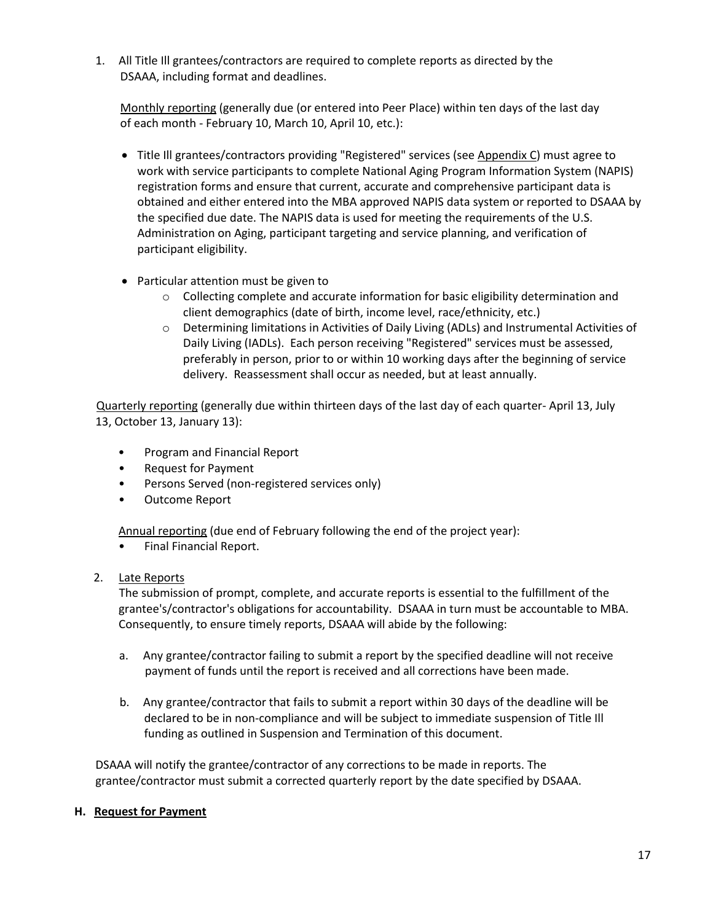1. All Title Ill grantees/contractors are required to complete reports as directed by the DSAAA, including format and deadlines.

Monthly reporting (generally due (or entered into Peer Place) within ten days of the last day of each month - February 10, March 10, April 10, etc.):

- Title Ill grantees/contractors providing "Registered" services (see Appendix C) must agree to work with service participants to complete National Aging Program Information System (NAPIS) registration forms and ensure that current, accurate and comprehensive participant data is obtained and either entered into the MBA approved NAPIS data system or reported to DSAAA by the specified due date. The NAPIS data is used for meeting the requirements of the U.S. Administration on Aging, participant targeting and service planning, and verification of participant eligibility.
- Particular attention must be given to
	- $\circ$  Collecting complete and accurate information for basic eligibility determination and client demographics (date of birth, income level, race/ethnicity, etc.)
	- o Determining limitations in Activities of Daily Living (ADLs) and Instrumental Activities of Daily Living (IADLs). Each person receiving "Registered" services must be assessed, preferably in person, prior to or within 10 working days after the beginning of service delivery. Reassessment shall occur as needed, but at least annually.

Quarterly reporting (generally due within thirteen days of the last day of each quarter- April 13, July 13, October 13, January 13):

- Program and Financial Report
- Request for Payment
- Persons Served (non-registered services only)
- Outcome Report

Annual reporting (due end of February following the end of the project year):

- Final Financial Report.
- 2. Late Reports

The submission of prompt, complete, and accurate reports is essential to the fulfillment of the grantee's/contractor's obligations for accountability. DSAAA in turn must be accountable to MBA. Consequently, to ensure timely reports, DSAAA will abide by the following:

- a. Any grantee/contractor failing to submit a report by the specified deadline will not receive payment of funds until the report is received and all corrections have been made.
- b. Any grantee/contractor that fails to submit a report within 30 days of the deadline will be declared to be in non-compliance and will be subject to immediate suspension of Title Ill funding as outlined in Suspension and Termination of this document.

DSAAA will notify the grantee/contractor of any corrections to be made in reports. The grantee/contractor must submit a corrected quarterly report by the date specified by DSAAA.

## **H. Request for Payment**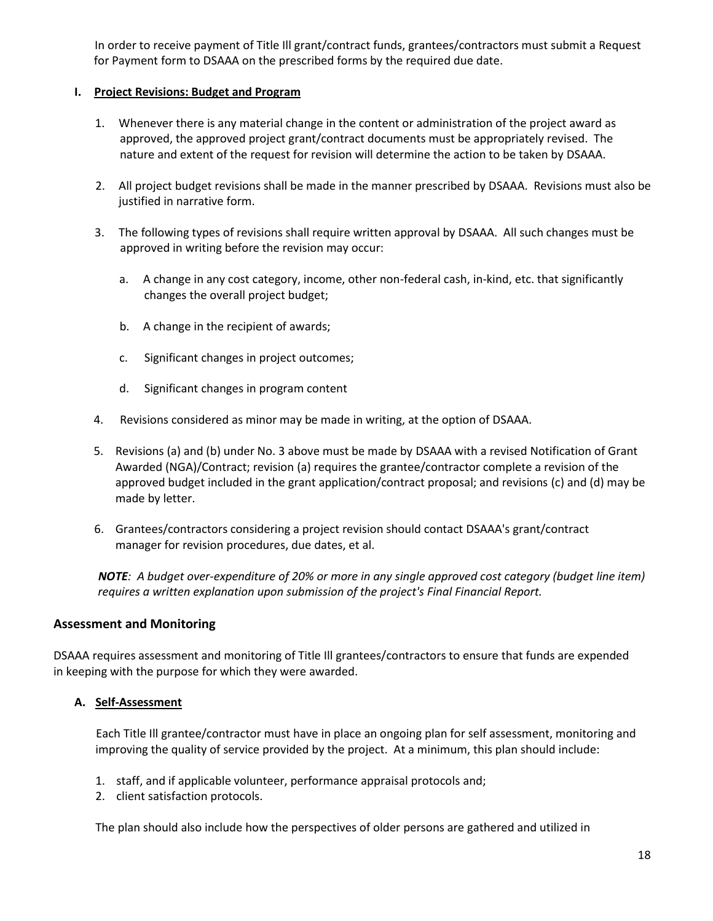In order to receive payment of Title Ill grant/contract funds, grantees/contractors must submit a Request for Payment form to DSAAA on the prescribed forms by the required due date.

#### **I. Project Revisions: Budget and Program**

- 1. Whenever there is any material change in the content or administration of the project award as approved, the approved project grant/contract documents must be appropriately revised. The nature and extent of the request for revision will determine the action to be taken by DSAAA.
- 2. All project budget revisions shall be made in the manner prescribed by DSAAA. Revisions must also be justified in narrative form.
- 3. The following types of revisions shall require written approval by DSAAA. All such changes must be approved in writing before the revision may occur:
	- a. A change in any cost category, income, other non-federal cash, in-kind, etc. that significantly changes the overall project budget;
	- b. A change in the recipient of awards;
	- c. Significant changes in project outcomes;
	- d. Significant changes in program content
- 4. Revisions considered as minor may be made in writing, at the option of DSAAA.
- 5. Revisions (a) and (b) under No. 3 above must be made by DSAAA with a revised Notification of Grant Awarded (NGA)/Contract; revision (a) requires the grantee/contractor complete a revision of the approved budget included in the grant application/contract proposal; and revisions (c) and (d) may be made by letter.
- 6. Grantees/contractors considering a project revision should contact DSAAA's grant/contract manager for revision procedures, due dates, et al.

*NOTE: A budget over-expenditure of 20% or more in any single approved cost category (budget line item) requires a written explanation upon submission of the project's Final Financial Report.*

## **Assessment and Monitoring**

DSAAA requires assessment and monitoring of Title Ill grantees/contractors to ensure that funds are expended in keeping with the purpose for which they were awarded.

## **A. Self-Assessment**

Each Title Ill grantee/contractor must have in place an ongoing plan for self assessment, monitoring and improving the quality of service provided by the project. At a minimum, this plan should include:

- 1. staff, and if applicable volunteer, performance appraisal protocols and;
- 2. client satisfaction protocols.

The plan should also include how the perspectives of older persons are gathered and utilized in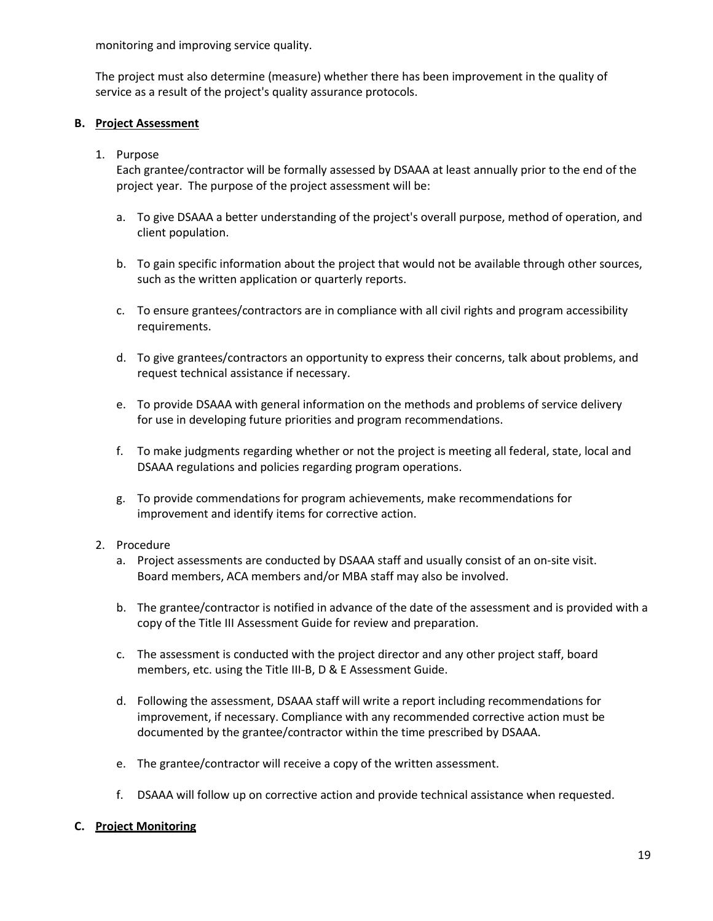monitoring and improving service quality.

The project must also determine (measure) whether there has been improvement in the quality of service as a result of the project's quality assurance protocols.

#### **B. Project Assessment**

1. Purpose

Each grantee/contractor will be formally assessed by DSAAA at least annually prior to the end of the project year. The purpose of the project assessment will be:

- a. To give DSAAA a better understanding of the project's overall purpose, method of operation, and client population.
- b. To gain specific information about the project that would not be available through other sources, such as the written application or quarterly reports.
- c. To ensure grantees/contractors are in compliance with all civil rights and program accessibility requirements.
- d. To give grantees/contractors an opportunity to express their concerns, talk about problems, and request technical assistance if necessary.
- e. To provide DSAAA with general information on the methods and problems of service delivery for use in developing future priorities and program recommendations.
- f. To make judgments regarding whether or not the project is meeting all federal, state, local and DSAAA regulations and policies regarding program operations.
- g. To provide commendations for program achievements, make recommendations for improvement and identify items for corrective action.

#### 2. Procedure

- a. Project assessments are conducted by DSAAA staff and usually consist of an on-site visit. Board members, ACA members and/or MBA staff may also be involved.
- b. The grantee/contractor is notified in advance of the date of the assessment and is provided with a copy of the Title III Assessment Guide for review and preparation.
- c. The assessment is conducted with the project director and any other project staff, board members, etc. using the Title III-B, D & E Assessment Guide.
- d. Following the assessment, DSAAA staff will write a report including recommendations for improvement, if necessary. Compliance with any recommended corrective action must be documented by the grantee/contractor within the time prescribed by DSAAA.
- e. The grantee/contractor will receive a copy of the written assessment.
- f. DSAAA will follow up on corrective action and provide technical assistance when requested.

#### **C. Project Monitoring**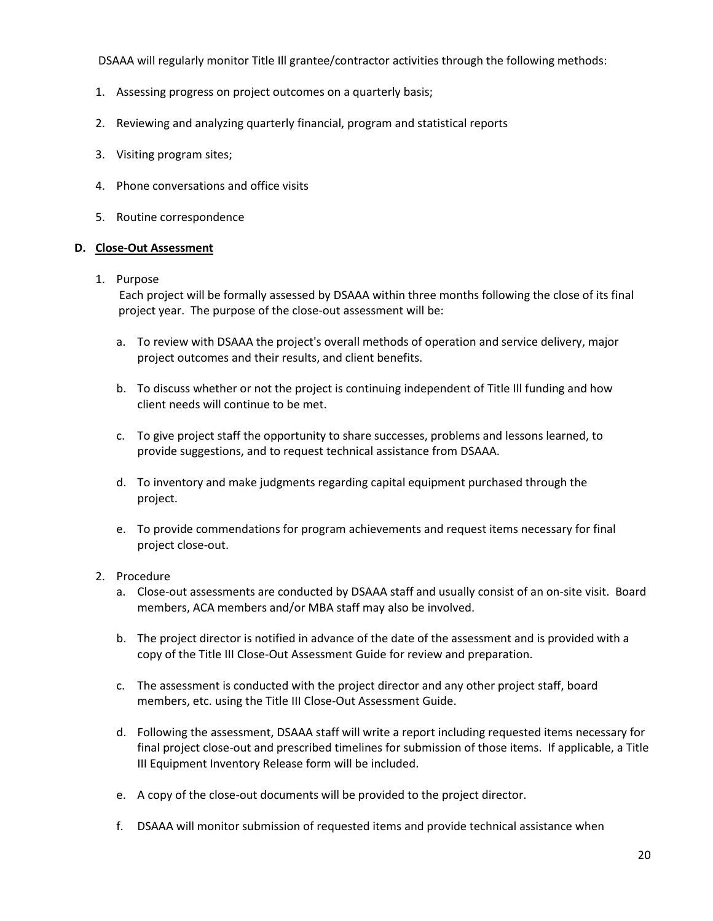DSAAA will regularly monitor Title Ill grantee/contractor activities through the following methods:

- 1. Assessing progress on project outcomes on a quarterly basis;
- 2. Reviewing and analyzing quarterly financial, program and statistical reports
- 3. Visiting program sites;
- 4. Phone conversations and office visits
- 5. Routine correspondence

#### **D. Close-Out Assessment**

1. Purpose

Each project will be formally assessed by DSAAA within three months following the close of its final project year. The purpose of the close-out assessment will be:

- a. To review with DSAAA the project's overall methods of operation and service delivery, major project outcomes and their results, and client benefits.
- b. To discuss whether or not the project is continuing independent of Title Ill funding and how client needs will continue to be met.
- c. To give project staff the opportunity to share successes, problems and lessons learned, to provide suggestions, and to request technical assistance from DSAAA.
- d. To inventory and make judgments regarding capital equipment purchased through the project.
- e. To provide commendations for program achievements and request items necessary for final project close-out.
- 2. Procedure
	- a. Close-out assessments are conducted by DSAAA staff and usually consist of an on-site visit. Board members, ACA members and/or MBA staff may also be involved.
	- b. The project director is notified in advance of the date of the assessment and is provided with a copy of the Title III Close-Out Assessment Guide for review and preparation.
	- c. The assessment is conducted with the project director and any other project staff, board members, etc. using the Title III Close-Out Assessment Guide.
	- d. Following the assessment, DSAAA staff will write a report including requested items necessary for final project close-out and prescribed timelines for submission of those items. If applicable, a Title III Equipment Inventory Release form will be included.
	- e. A copy of the close-out documents will be provided to the project director.
	- f. DSAAA will monitor submission of requested items and provide technical assistance when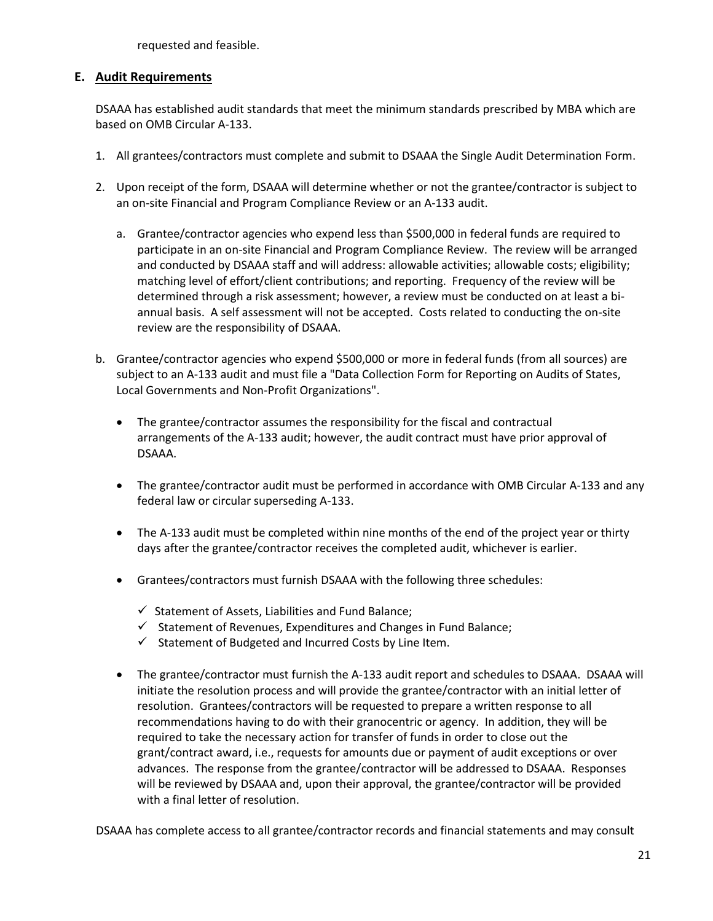requested and feasible.

#### **E. Audit Requirements**

DSAAA has established audit standards that meet the minimum standards prescribed by MBA which are based on OMB Circular A-133.

- 1. All grantees/contractors must complete and submit to DSAAA the Single Audit Determination Form.
- 2. Upon receipt of the form, DSAAA will determine whether or not the grantee/contractor is subject to an on-site Financial and Program Compliance Review or an A-133 audit.
	- a. Grantee/contractor agencies who expend less than \$500,000 in federal funds are required to participate in an on-site Financial and Program Compliance Review. The review will be arranged and conducted by DSAAA staff and will address: allowable activities; allowable costs; eligibility; matching level of effort/client contributions; and reporting. Frequency of the review will be determined through a risk assessment; however, a review must be conducted on at least a biannual basis. A self assessment will not be accepted. Costs related to conducting the on-site review are the responsibility of DSAAA.
- b. Grantee/contractor agencies who expend \$500,000 or more in federal funds (from all sources) are subject to an A-133 audit and must file a "Data Collection Form for Reporting on Audits of States, Local Governments and Non-Profit Organizations".
	- The grantee/contractor assumes the responsibility for the fiscal and contractual arrangements of the A-133 audit; however, the audit contract must have prior approval of DSAAA.
	- The grantee/contractor audit must be performed in accordance with OMB Circular A-133 and any federal law or circular superseding A-133.
	- The A-133 audit must be completed within nine months of the end of the project year or thirty days after the grantee/contractor receives the completed audit, whichever is earlier.
	- Grantees/contractors must furnish DSAAA with the following three schedules:
		- $\checkmark$  Statement of Assets, Liabilities and Fund Balance;
		- $\checkmark$  Statement of Revenues, Expenditures and Changes in Fund Balance;
		- ✓ Statement of Budgeted and Incurred Costs by Line Item.
	- The grantee/contractor must furnish the A-133 audit report and schedules to DSAAA. DSAAA will initiate the resolution process and will provide the grantee/contractor with an initial letter of resolution. Grantees/contractors will be requested to prepare a written response to all recommendations having to do with their granocentric or agency. In addition, they will be required to take the necessary action for transfer of funds in order to close out the grant/contract award, i.e., requests for amounts due or payment of audit exceptions or over advances. The response from the grantee/contractor will be addressed to DSAAA. Responses will be reviewed by DSAAA and, upon their approval, the grantee/contractor will be provided with a final letter of resolution.

DSAAA has complete access to all grantee/contractor records and financial statements and may consult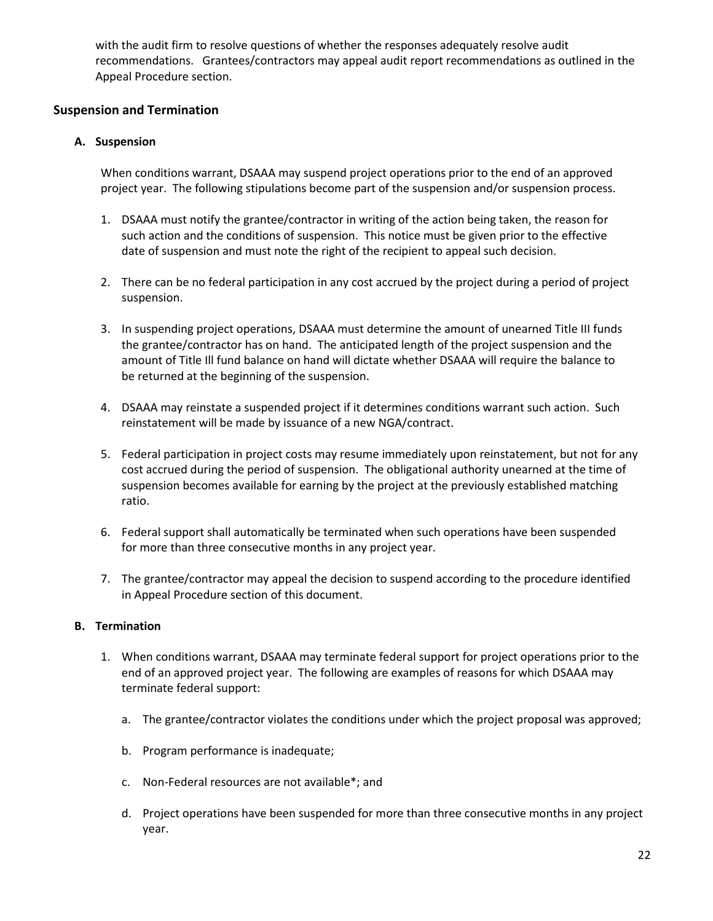with the audit firm to resolve questions of whether the responses adequately resolve audit recommendations. Grantees/contractors may appeal audit report recommendations as outlined in the Appeal Procedure section.

#### **Suspension and Termination**

#### **A. Suspension**

When conditions warrant, DSAAA may suspend project operations prior to the end of an approved project year. The following stipulations become part of the suspension and/or suspension process.

- 1. DSAAA must notify the grantee/contractor in writing of the action being taken, the reason for such action and the conditions of suspension. This notice must be given prior to the effective date of suspension and must note the right of the recipient to appeal such decision.
- 2. There can be no federal participation in any cost accrued by the project during a period of project suspension.
- 3. In suspending project operations, DSAAA must determine the amount of unearned Title III funds the grantee/contractor has on hand. The anticipated length of the project suspension and the amount of Title Ill fund balance on hand will dictate whether DSAAA will require the balance to be returned at the beginning of the suspension.
- 4. DSAAA may reinstate a suspended project if it determines conditions warrant such action. Such reinstatement will be made by issuance of a new NGA/contract.
- 5. Federal participation in project costs may resume immediately upon reinstatement, but not for any cost accrued during the period of suspension. The obligational authority unearned at the time of suspension becomes available for earning by the project at the previously established matching ratio.
- 6. Federal support shall automatically be terminated when such operations have been suspended for more than three consecutive months in any project year.
- 7. The grantee/contractor may appeal the decision to suspend according to the procedure identified in Appeal Procedure section of this document.

#### **B. Termination**

- 1. When conditions warrant, DSAAA may terminate federal support for project operations prior to the end of an approved project year. The following are examples of reasons for which DSAAA may terminate federal support:
	- a. The grantee/contractor violates the conditions under which the project proposal was approved;
	- b. Program performance is inadequate;
	- c. Non-Federal resources are not available\*; and
	- d. Project operations have been suspended for more than three consecutive months in any project year.